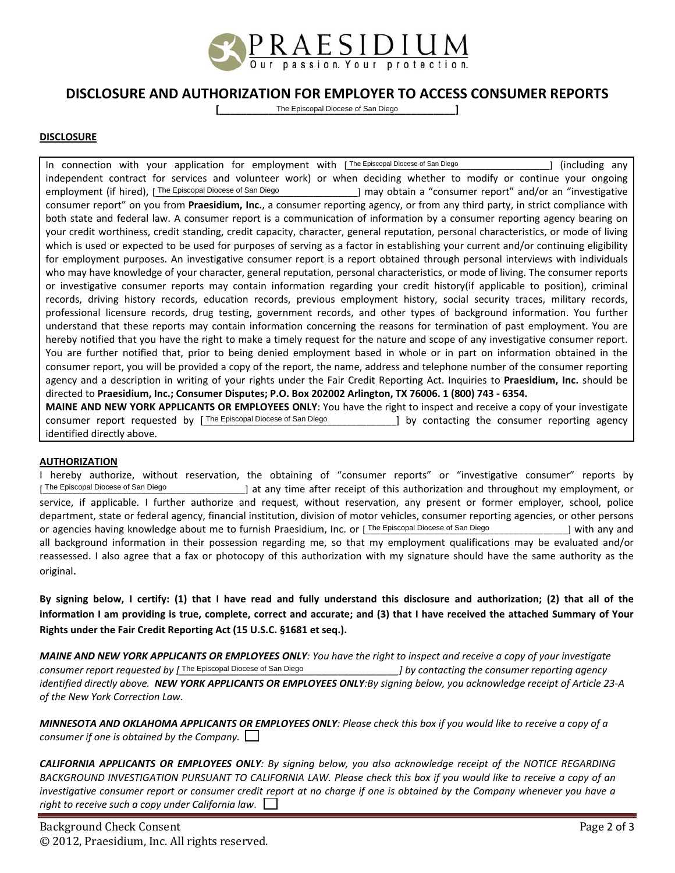

# **DISCLOSURE AND AUTHORIZATION FOR EMPLOYER TO ACCESS CONSUMER REPORTS**

**[\_\_\_\_\_\_\_\_\_\_\_\_\_\_\_\_\_\_\_\_\_\_\_\_\_\_\_\_\_\_\_\_\_\_\_\_\_\_\_\_\_\_\_]** The Episcopal Diocese of San Diego

#### **DISCLOSURE**

In connection with your application for employment with [The Episcopal Diocese of San Diego **[19]** [including any independent contract for services and volunteer work) or when deciding whether to modify or continue your ongoing employment (if hired), [The Episcopal Diocese of San Diego [1] may obtain a "consumer report" and/or an "investigative consumer report" on you from **Praesidium, Inc.**, a consumer reporting agency, or from any third party, in strict compliance with both state and federal law. A consumer report is a communication of information by a consumer reporting agency bearing on your credit worthiness, credit standing, credit capacity, character, general reputation, personal characteristics, or mode of living which is used or expected to be used for purposes of serving as a factor in establishing your current and/or continuing eligibility for employment purposes. An investigative consumer report is a report obtained through personal interviews with individuals who may have knowledge of your character, general reputation, personal characteristics, or mode of living. The consumer reports or investigative consumer reports may contain information regarding your credit history(if applicable to position), criminal records, driving history records, education records, previous employment history, social security traces, military records, professional licensure records, drug testing, government records, and other types of background information. You further understand that these reports may contain information concerning the reasons for termination of past employment. You are hereby notified that you have the right to make a timely request for the nature and scope of any investigative consumer report. You are further notified that, prior to being denied employment based in whole or in part on information obtained in the consumer report, you will be provided a copy of the report, the name, address and telephone number of the consumer reporting agency and a description in writing of your rights under the Fair Credit Reporting Act. Inquiries to **Praesidium, Inc.** should be directed to **Praesidium, Inc.; Consumer Disputes; P.O. Box 202002 Arlington, TX 76006. 1 (800) 743 ‐ 6354.** employment (if hired), The Episcopal Diocese of San Diocese of San Diocese of San Diocese of San Diocese of San Diocese of San Diocese of San Diocese of San Diocese of San Diocese of San Diocese of San Diocese of San Dioce

**MAINE AND NEW YORK APPLICANTS OR EMPLOYEES ONLY**: You have the right to inspect and receive a copy of your investigate consumer report requested by [The Episcopal Diocese of San Diego [1] [2] by contacting the consumer reporting agency identified directly above.

#### **AUTHORIZATION**

I hereby authorize, without reservation, the obtaining of "consumer reports" or "investigative consumer" reports by [The Episcopal Diocese of San Diego | at any time after receipt of this authorization and throughout my employment, or service, if applicable. I further authorize and request, without reservation, any present or former employer, school, police department, state or federal agency, financial institution, division of motor vehicles, consumer reporting agencies, or other persons or agencies having knowledge about me to furnish Praesidium, Inc. or [The Episcopal Diocese of San Diego | with any and all background information in their possession regarding me, so that my employment qualifications may be evaluated and/or reassessed. I also agree that a fax or photocopy of this authorization with my signature should have the same authority as the original.

By signing below, I certify: (1) that I have read and fully understand this disclosure and authorization; (2) that all of the information I am providing is true, complete, correct and accurate; and (3) that I have received the attached Summary of Your **Rights under the Fair Credit Reporting Act (15 U.S.C. §1681 et seq.).**

MAINE AND NEW YORK APPLICANTS OR EMPLOYEES ONLY: You have the right to inspect and receive a copy of your investigate *consumer report requested by [\_\_\_\_\_\_\_\_\_\_\_\_\_\_\_\_\_\_\_\_\_\_\_\_\_\_\_\_\_\_\_\_\_\_\_\_\_\_\_\_] by contacting the consumer reporting agency* identified directly above. NEW YORK APPLICANTS OR EMPLOYEES ONLY: By signing below, you acknowledge receipt of Article 23-A *of the New York Correction Law.* 

|                                                    | MINNESOTA AND OKLAHOMA APPLICANTS OR EMPLOYEES ONLY: Please check this box if you would like to receive a copy of a |
|----------------------------------------------------|---------------------------------------------------------------------------------------------------------------------|
| consumer if one is obtained by the Company. $\Box$ |                                                                                                                     |

CALIFORNIA APPLICANTS OR EMPLOYEES ONLY: By signing below, you also acknowledge receipt of the NOTICE REGARDING BACKGROUND INVESTIGATION PURSUANT TO CALIFORNIA LAW. Please check this box if you would like to receive a copy of an investigative consumer report or consumer credit report at no charge if one is obtained by the Company whenever you have a *right to receive such a copy under California law*.